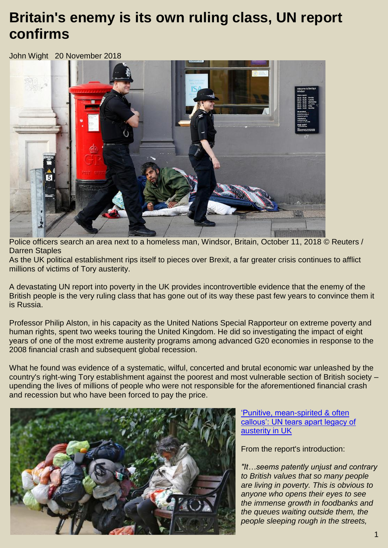## **Britain's enemy is its own ruling class, UN report confirms**

John Wight 20 November 2018



Police officers search an area next to a homeless man, Windsor, Britain, October 11, 2018 © Reuters / Darren Staples

As the UK political establishment rips itself to pieces over Brexit, a far greater crisis continues to afflict millions of victims of Tory austerity.

A devastating UN report into poverty in the UK provides incontrovertible evidence that the enemy of the British people is the very ruling class that has gone out of its way these past few years to convince them it is Russia.

Professor Philip Alston, in his capacity as the United Nations Special Rapporteur on extreme poverty and human rights, spent two weeks touring the United Kingdom. He did so investigating the impact of eight years of one of the most extreme austerity programs among advanced G20 economies in response to the 2008 financial crash and subsequent global recession.

What he found was evidence of a systematic, wilful, concerted and brutal economic war unleashed by the country's right-wing Tory establishment against the poorest and most vulnerable section of British society – upending the lives of millions of people who were not responsible for the aforementioned financial crash and recession but who have been forced to pay the price.



['Punitive, mean-spirited & often](https://www.rt.com/uk/444165-austerity-un-poverty-report/)  [callous': UN tears apart legacy of](https://www.rt.com/uk/444165-austerity-un-poverty-report/)  [austerity in UK](https://www.rt.com/uk/444165-austerity-un-poverty-report/)

From the report's introduction:

*"It…seems patently unjust and contrary to British values that so many people are living in poverty. This is obvious to anyone who opens their eyes to see the immense growth in foodbanks and the queues waiting outside them, the people sleeping rough in the streets,*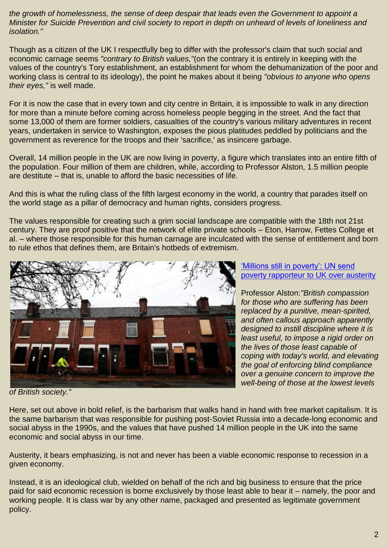*the growth of homelessness, the sense of deep despair that leads even the Government to appoint a Minister for Suicide Prevention and civil society to report in depth on unheard of levels of loneliness and isolation."*

Though as a citizen of the UK I respectfully beg to differ with the professor's claim that such social and economic carnage seems *"contrary to British values,"*(on the contrary it is entirely in keeping with the values of the country's Tory establishment, an establishment for whom the dehumanization of the poor and working class is central to its ideology), the point he makes about it being *"obvious to anyone who opens their eyes,"* is well made.

For it is now the case that in every town and city centre in Britain, it is impossible to walk in any direction for more than a minute before coming across homeless people begging in the street. And the fact that some 13,000 of them are former soldiers, casualties of the country's various military adventures in recent years, undertaken in service to Washington, exposes the pious platitudes peddled by politicians and the government as reverence for the troops and their 'sacrifice,' as insincere garbage.

Overall, 14 million people in the UK are now living in poverty, a figure which translates into an entire fifth of the population. Four million of them are children, while, according to Professor Alston, 1.5 million people are destitute – that is, unable to afford the basic necessities of life.

And this is what the ruling class of the fifth largest economy in the world, a country that parades itself on the world stage as a pillar of democracy and human rights, considers progress.

The values responsible for creating such a grim social landscape are compatible with the 18th not 21st century. They are proof positive that the network of elite private schools – Eton, Harrow, Fettes College et al. – where those responsible for this human carnage are inculcated with the sense of entitlement and born to rule ethos that defines them, are Britain's hotbeds of extremism.



['Millions still in poverty': UN send](https://www.rt.com/uk/443133-alston-un-rapporteur-poverty/)  [poverty rapporteur to UK over austerity](https://www.rt.com/uk/443133-alston-un-rapporteur-poverty/)

Professor Alston:*"British compassion for those who are suffering has been replaced by a punitive, mean-spirited, and often callous approach apparently designed to instill discipline where it is least useful, to impose a rigid order on the lives of those least capable of coping with today's world, and elevating the goal of enforcing blind compliance over a genuine concern to improve the well-being of those at the lowest levels* 

*of British society."*

Here, set out above in bold relief, is the barbarism that walks hand in hand with free market capitalism. It is the same barbarism that was responsible for pushing post-Soviet Russia into a decade-long economic and social abyss in the 1990s, and the values that have pushed 14 million people in the UK into the same economic and social abyss in our time.

Austerity, it bears emphasizing, is not and never has been a viable economic response to recession in a given economy.

Instead, it is an ideological club, wielded on behalf of the rich and big business to ensure that the price paid for said economic recession is borne exclusively by those least able to bear it – namely, the poor and working people. It is class war by any other name, packaged and presented as legitimate government policy.